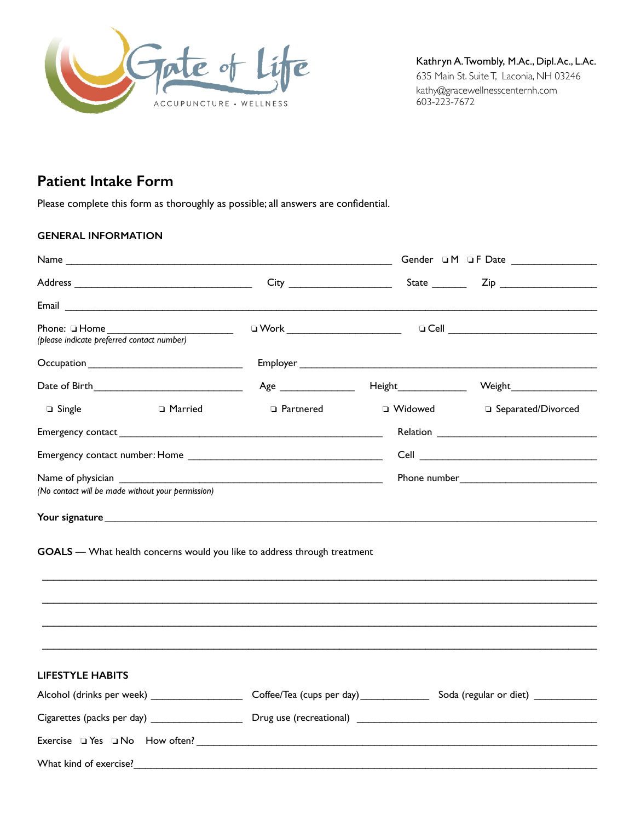

Kathryn A. Twombly, M.Ac., Dipl. Ac., L.Ac. 635 Main St. Suite T, Laconia, NH 03246 [kathy@gracewellnesscenternh.com](mailto:kathy@gracewellnesscenternh.com) 603-223-7672

# **Patient Intake Form**

Please complete this form as thoroughly as possible; all answers are confidential.

# **GENERAL INFORMATION**

|                                                                  |                                               |                                                                          | Gender DM DF Date ________________                                                                                            |
|------------------------------------------------------------------|-----------------------------------------------|--------------------------------------------------------------------------|-------------------------------------------------------------------------------------------------------------------------------|
|                                                                  |                                               |                                                                          |                                                                                                                               |
|                                                                  |                                               |                                                                          |                                                                                                                               |
| Phone: $\Box$ Home<br>(please indicate preferred contact number) | $\overline{\phantom{a}}$                      |                                                                          |                                                                                                                               |
|                                                                  |                                               |                                                                          |                                                                                                                               |
|                                                                  | Date of Birth______________________________   |                                                                          |                                                                                                                               |
| □ Single                                                         | □ Married                                     | □ Partnered                                                              | □ Widowed □ Separated/Divorced                                                                                                |
|                                                                  |                                               |                                                                          |                                                                                                                               |
|                                                                  |                                               |                                                                          |                                                                                                                               |
| (No contact will be made without your permission)                |                                               |                                                                          |                                                                                                                               |
|                                                                  |                                               |                                                                          |                                                                                                                               |
|                                                                  |                                               | GOALS - What health concerns would you like to address through treatment |                                                                                                                               |
|                                                                  |                                               |                                                                          |                                                                                                                               |
| <b>LIFESTYLE HABITS</b>                                          |                                               |                                                                          |                                                                                                                               |
|                                                                  |                                               |                                                                          | Alcohol (drinks per week) _______________________ Coffee/Tea (cups per day) _____________ Soda (regular or diet) ____________ |
|                                                                  | Cigarettes (packs per day) __________________ |                                                                          |                                                                                                                               |
|                                                                  |                                               |                                                                          |                                                                                                                               |
| What kind of exercise?                                           |                                               |                                                                          |                                                                                                                               |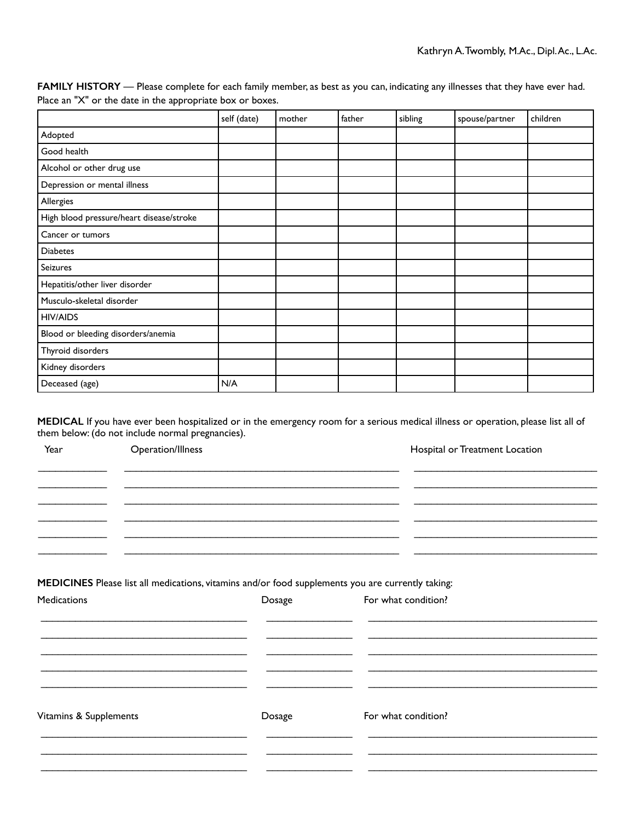|                                          | self (date) | mother | father | sibling | spouse/partner | children |
|------------------------------------------|-------------|--------|--------|---------|----------------|----------|
| Adopted                                  |             |        |        |         |                |          |
| Good health                              |             |        |        |         |                |          |
| Alcohol or other drug use                |             |        |        |         |                |          |
| Depression or mental illness             |             |        |        |         |                |          |
| Allergies                                |             |        |        |         |                |          |
| High blood pressure/heart disease/stroke |             |        |        |         |                |          |
| Cancer or tumors                         |             |        |        |         |                |          |
| <b>Diabetes</b>                          |             |        |        |         |                |          |
| Seizures                                 |             |        |        |         |                |          |
| Hepatitis/other liver disorder           |             |        |        |         |                |          |
| Musculo-skeletal disorder                |             |        |        |         |                |          |
| <b>HIV/AIDS</b>                          |             |        |        |         |                |          |
| Blood or bleeding disorders/anemia       |             |        |        |         |                |          |
| Thyroid disorders                        |             |        |        |         |                |          |
| Kidney disorders                         |             |        |        |         |                |          |
| Deceased (age)                           | N/A         |        |        |         |                |          |

**FAMILY HISTORY** — Please complete for each family member, as best as you can, indicating any illnesses that they have ever had. Place an "X" or the date in the appropriate box or boxes.

**MEDICAL** If you have ever been hospitalized or in the emergency room for a serious medical illness or operation, please list all of them below: (do not include normal pregnancies).

| Year                   | Operation/Illness |        | Hospital or Treatment Location                                                                                           |
|------------------------|-------------------|--------|--------------------------------------------------------------------------------------------------------------------------|
|                        |                   |        |                                                                                                                          |
|                        |                   |        |                                                                                                                          |
| Medications            |                   | Dosage | MEDICINES Please list all medications, vitamins and/or food supplements you are currently taking:<br>For what condition? |
|                        |                   |        |                                                                                                                          |
|                        |                   |        |                                                                                                                          |
| Vitamins & Supplements |                   | Dosage | For what condition?                                                                                                      |
|                        |                   |        |                                                                                                                          |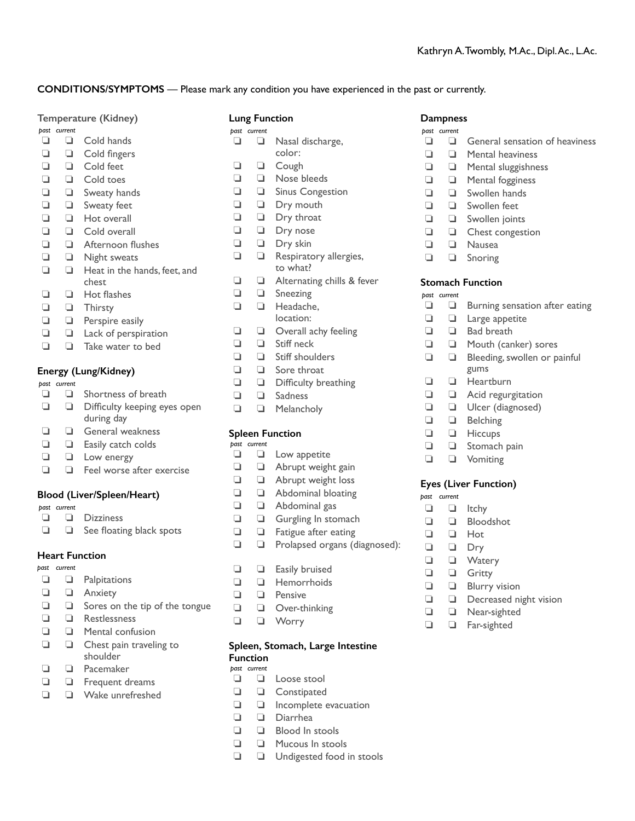# **CONDITIONS/SYMPTOMS** — Please mark any condition you have experienced in the past or currently.

| Temperature (Kidney) |  |
|----------------------|--|
|----------------------|--|

# *past current*

- $\Box$   $\Box$  Cold hands  $\Box$   $\Box$  Cold fingers
- **I** Cold feet
- $\Box$   $\Box$  Cold toes
- $\Box$   $\Box$  Sweaty hands
- $\Box$   $\Box$  Sweaty feet
- $\Box$   $\Box$  Hot overall
- $\Box$   $\Box$  Cold overall
- $\Box$   $\Box$  Afternoon flushes
- $\Box$   $\Box$  Night sweats
- $\Box$   $\Box$  Heat in the hands, feet, and chest
- $\Box$   $\Box$  Hot flashes
- **Q Q** Thirsty
- $\Box$   $\Box$  Perspire easily
- $\Box$   $\Box$  Lack of perspiration
- $\Box$   $\Box$  Take water to bed

# **Energy (Lung/Kidney)**

*past current* 

- $\Box$   $\Box$  Shortness of breath  $\Box$   $\Box$  Difficulty keeping eyes open during day  $\Box$   $\Box$  General weakness  $\Box$   $\Box$  Easily catch colds
- $\Box$   $\Box$  Low energy
- $\Box$   $\Box$  Feel worse after exercise

### **Blood (Liver/Spleen/Heart)**

- *past current*
- $\Box$   $\Box$  Dizziness
- $\Box$   $\Box$  See floating black spots

# **Heart Function**

*past current* 

- $\Box$   $\Box$  Palpitations
- **Q Anxiety**
- $\Box$   $\Box$  Sores on the tip of the tongue
- $\Box$   $\Box$  Restlessness
- $\Box$   $\Box$  Mental confusion
- $\Box$   $\Box$  Chest pain traveling to shoulder
- $\Box$   $\Box$  Pacemaker
- $\Box$   $\Box$  Frequent dreams
- $\Box$   $\Box$  Wake unrefreshed

- *past current*   $\Box$   $\Box$  Nasal discharge, color:
- **1 1** Cough
- $\Box$   $\Box$  Nose bleeds
- $\Box$   $\Box$  Sinus Congestion
- $\Box$   $\Box$  Dry mouth
- $\Box$   $\Box$  Dry throat
- $\Box$   $\Box$  Dry nose
- $\Box$   $\Box$  Dry skin
- $\Box$   $\Box$  Respiratory allergies, to what?
- $\Box$   $\Box$  Alternating chills & fever
- $\Box$   $\Box$  Sneezing
- $\Box$   $\Box$  Headache, location:
- $\Box$   $\Box$  Overall achy feeling
- $\Box$   $\Box$  Stiff neck
- $\Box$   $\Box$  Stiff shoulders
- $\Box$   $\Box$  Sore throat
- $\Box$   $\Box$  Difficulty breathing
- $\Box$   $\Box$  Sadness
- $\Box$   $\Box$  Melancholy

# **Spleen Function**

*past current* 

- $\Box$   $\Box$  Low appetite
- $\Box$   $\Box$  Abrupt weight gain
- $\Box$   $\Box$  Abrupt weight loss
- $\Box$   $\Box$  Abdominal bloating
- $\Box$   $\Box$  Abdominal gas
- $\Box$   $\Box$  Gurgling In stomach
- $\Box$   $\Box$  Fatigue after eating
- **Q D** Prolapsed organs (diagnosed):
- $\Box$   $\Box$  Easily bruised
- $\Box$   $\Box$  Hemorrhoids
- $\Box$   $\Box$  Pensive
- $\Box$   $\Box$  Over-thinking
- **Q Q** Worry

#### **Spleen, Stomach, Large Intestine Function**

*past current* 

- $\Box$   $\Box$  Loose stool
- **Q Q** Constipated
- $\Box$   $\Box$  Incomplete evacuation
- **1 Diarrhea**
- $\Box$   $\Box$  Blood In stools
- $\Box$   $\Box$  Mucous In stools
- $\Box$   $\Box$  Undigested food in stools

### **Dampness**

- *past current*
- $\Box$   $\Box$  General sensation of heaviness
- $\Box$   $\Box$  Mental heaviness
- $\Box$   $\Box$  Mental sluggishness
- $\Box$   $\Box$  Mental fogginess
- $\Box$   $\Box$  Swollen hands
- $\Box$   $\Box$  Swollen feet
- $\Box$   $\Box$  Swollen joints
- $\Box$   $\Box$  Chest congestion
- $\Box$   $\Box$  Nausea
- $\Box$   $\Box$  Snoring

### **Stomach Function**

- *past current*
- $\Box$   $\Box$  Burning sensation after eating
- $\Box$   $\Box$  Large appetite
- $\Box$   $\Box$  Bad breath

gums **Q Q** Heartburn  $\Box$   $\Box$  Acid regurgitation  $\Box$   $\Box$  Ulcer (diagnosed)

 $\Box$   $\Box$  Belching  $\Box$   $\Box$  Hiccups  $\Box$   $\Box$  Stomach pain  $\Box$   $\Box$  Vomiting

**Eyes (Liver Function)**

 $\Box$   $\Box$  Decreased night vision

**Q Q** Near-sighted **Q C** Far-sighted

 $\Box$   $\Box$  Itchy  $\Box$   $\Box$  Bloodshot  $\Box$   $\Box$  Hot  $\Box$   $\Box$  Dry **Q Q** Watery **Q Gritty**  $\Box$   $\Box$  Blurry vision

*past current* 

**1 1** Mouth (canker) sores  $\Box$   $\Box$  Bleeding, swollen or painful